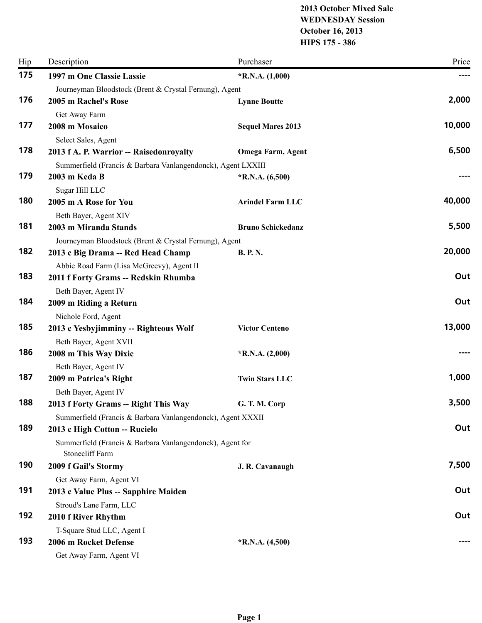# **2013 October Mixed Sale WEDNESDAY Session October 16, 2013 HIPS 175 - 386**

| Hip | Description                                                  | Purchaser                | Price  |
|-----|--------------------------------------------------------------|--------------------------|--------|
| 175 | 1997 m One Classie Lassie                                    | $*R.N.A. (1,000)$        |        |
|     | Journeyman Bloodstock (Brent & Crystal Fernung), Agent       |                          |        |
| 176 | 2005 m Rachel's Rose                                         | <b>Lynne Boutte</b>      | 2,000  |
|     | Get Away Farm                                                |                          |        |
| 177 | 2008 m Mosaico                                               | <b>Sequel Mares 2013</b> | 10,000 |
|     | Select Sales, Agent                                          |                          |        |
| 178 | 2013 f A. P. Warrior -- Raisedonroyalty                      | <b>Omega Farm, Agent</b> | 6,500  |
|     | Summerfield (Francis & Barbara Vanlangendonck), Agent LXXIII |                          |        |
| 179 | 2003 m Keda B                                                | $*R.N.A. (6,500)$        |        |
|     | Sugar Hill LLC                                               |                          |        |
| 180 | 2005 m A Rose for You                                        | <b>Arindel Farm LLC</b>  | 40,000 |
|     | Beth Bayer, Agent XIV                                        |                          |        |
| 181 | 2003 m Miranda Stands                                        | <b>Bruno Schickedanz</b> | 5,500  |
|     | Journeyman Bloodstock (Brent & Crystal Fernung), Agent       |                          |        |
| 182 | 2013 c Big Drama -- Red Head Champ                           | <b>B. P. N.</b>          | 20,000 |
|     | Abbie Road Farm (Lisa McGreevy), Agent II                    |                          |        |
| 183 | 2011 f Forty Grams -- Redskin Rhumba<br>Beth Bayer, Agent IV |                          | Out    |
| 184 | 2009 m Riding a Return                                       |                          | Out    |
|     | Nichole Ford, Agent                                          |                          |        |
| 185 | 2013 c Yesbyjimminy -- Righteous Wolf                        | <b>Victor Centeno</b>    | 13,000 |
|     | Beth Bayer, Agent XVII                                       |                          |        |
| 186 | 2008 m This Way Dixie                                        | $*R.N.A. (2,000)$        |        |
|     |                                                              |                          |        |
| 187 | Beth Bayer, Agent IV<br>2009 m Patrica's Right               | <b>Twin Stars LLC</b>    | 1,000  |
|     | Beth Bayer, Agent IV                                         |                          |        |
| 188 | 2013 f Forty Grams -- Right This Way                         | G. T. M. Corp            | 3,500  |
|     | Summerfield (Francis & Barbara Vanlangendonck), Agent XXXII  |                          |        |
| 189 | 2013 c High Cotton -- Rucielo                                |                          | Out    |
|     | Summerfield (Francis & Barbara Vanlangendonck), Agent for    |                          |        |
|     | Stonecliff Farm                                              |                          |        |
| 190 | 2009 f Gail's Stormy                                         | J. R. Cavanaugh          | 7,500  |
|     | Get Away Farm, Agent VI                                      |                          |        |
| 191 | 2013 c Value Plus -- Sapphire Maiden                         |                          | Out    |
|     | Stroud's Lane Farm, LLC                                      |                          |        |
| 192 | 2010 f River Rhythm                                          |                          | Out    |
|     | T-Square Stud LLC, Agent I                                   |                          |        |
| 193 | 2006 m Rocket Defense                                        | $*R.N.A. (4,500)$        |        |
|     | Get Away Farm, Agent VI                                      |                          |        |
|     |                                                              |                          |        |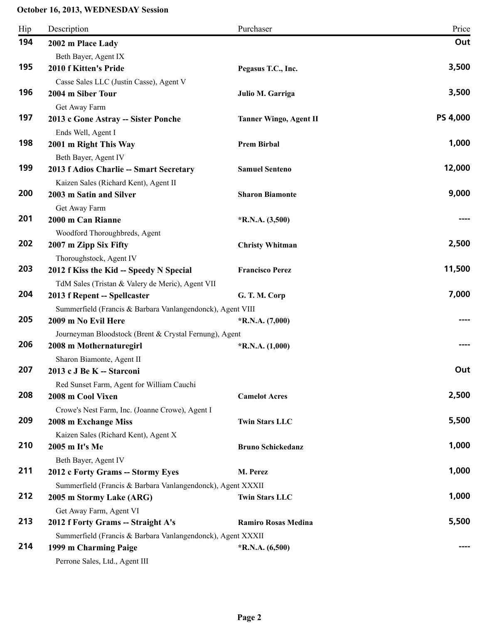| Hip | Description                                                 | Purchaser                     | Price           |
|-----|-------------------------------------------------------------|-------------------------------|-----------------|
| 194 | 2002 m Place Lady                                           |                               | Out             |
|     | Beth Bayer, Agent IX                                        |                               |                 |
| 195 | 2010 f Kitten's Pride                                       | Pegasus T.C., Inc.            | 3,500           |
|     | Casse Sales LLC (Justin Casse), Agent V                     |                               |                 |
| 196 | 2004 m Siber Tour                                           | Julio M. Garriga              | 3,500           |
|     | Get Away Farm                                               |                               |                 |
| 197 | 2013 c Gone Astray -- Sister Ponche                         | <b>Tanner Wingo, Agent II</b> | <b>PS 4,000</b> |
|     | Ends Well, Agent I                                          |                               |                 |
| 198 | 2001 m Right This Way                                       | <b>Prem Birbal</b>            | 1,000           |
|     | Beth Bayer, Agent IV                                        |                               |                 |
| 199 | 2013 f Adios Charlie -- Smart Secretary                     | <b>Samuel Senteno</b>         | 12,000          |
|     | Kaizen Sales (Richard Kent), Agent II                       |                               |                 |
| 200 | 2003 m Satin and Silver                                     | <b>Sharon Biamonte</b>        | 9,000           |
|     | Get Away Farm                                               |                               |                 |
| 201 | 2000 m Can Rianne                                           | $*R.N.A. (3,500)$             |                 |
|     | Woodford Thoroughbreds, Agent                               |                               |                 |
| 202 | 2007 m Zipp Six Fifty                                       | <b>Christy Whitman</b>        | 2,500           |
|     | Thoroughstock, Agent IV                                     |                               |                 |
| 203 | 2012 f Kiss the Kid -- Speedy N Special                     | <b>Francisco Perez</b>        | 11,500          |
|     | TdM Sales (Tristan & Valery de Meric), Agent VII            |                               |                 |
| 204 | 2013 f Repent -- Spellcaster                                | G. T. M. Corp                 | 7,000           |
|     | Summerfield (Francis & Barbara Vanlangendonck), Agent VIII  |                               |                 |
| 205 | 2009 m No Evil Here                                         | $*R.N.A. (7,000)$             |                 |
|     | Journeyman Bloodstock (Brent & Crystal Fernung), Agent      |                               |                 |
| 206 | 2008 m Mothernaturegirl                                     | $*R.N.A. (1,000)$             |                 |
|     | Sharon Biamonte, Agent II                                   |                               |                 |
| 207 | 2013 c J Be K -- Starconi                                   |                               | Out             |
|     | Red Sunset Farm, Agent for William Cauchi                   |                               |                 |
| 208 | 2008 m Cool Vixen                                           | <b>Camelot Acres</b>          | 2,500           |
|     | Crowe's Nest Farm, Inc. (Joanne Crowe), Agent I             |                               |                 |
| 209 | 2008 m Exchange Miss                                        | <b>Twin Stars LLC</b>         | 5,500           |
|     | Kaizen Sales (Richard Kent), Agent X                        |                               |                 |
| 210 | 2005 m It's Me                                              | <b>Bruno Schickedanz</b>      | 1,000           |
|     | Beth Bayer, Agent IV                                        |                               |                 |
| 211 | 2012 c Forty Grams -- Stormy Eyes                           | M. Perez                      | 1,000           |
|     | Summerfield (Francis & Barbara Vanlangendonck), Agent XXXII |                               |                 |
| 212 | 2005 m Stormy Lake (ARG)                                    | <b>Twin Stars LLC</b>         | 1,000           |
|     | Get Away Farm, Agent VI                                     |                               |                 |
| 213 | 2012 f Forty Grams -- Straight A's                          | <b>Ramiro Rosas Medina</b>    | 5,500           |
|     | Summerfield (Francis & Barbara Vanlangendonck), Agent XXXII |                               |                 |
| 214 | 1999 m Charming Paige                                       | $*R.N.A. (6,500)$             |                 |
|     | Perrone Sales, Ltd., Agent III                              |                               |                 |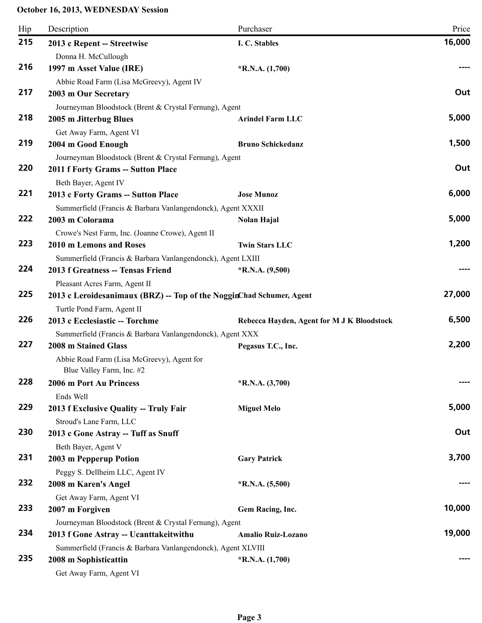| Hip | Description                                                             | Purchaser                                  | Price  |
|-----|-------------------------------------------------------------------------|--------------------------------------------|--------|
| 215 | 2013 c Repent -- Streetwise                                             | I. C. Stables                              | 16,000 |
|     | Donna H. McCullough                                                     |                                            |        |
| 216 | 1997 m Asset Value (IRE)                                                | $*R.N.A. (1,700)$                          |        |
|     | Abbie Road Farm (Lisa McGreevy), Agent IV                               |                                            |        |
| 217 | 2003 m Our Secretary                                                    |                                            | Out    |
|     | Journeyman Bloodstock (Brent & Crystal Fernung), Agent                  |                                            |        |
| 218 | 2005 m Jitterbug Blues                                                  | <b>Arindel Farm LLC</b>                    | 5,000  |
|     | Get Away Farm, Agent VI                                                 |                                            |        |
| 219 | 2004 m Good Enough                                                      | <b>Bruno Schickedanz</b>                   | 1,500  |
|     | Journeyman Bloodstock (Brent & Crystal Fernung), Agent                  |                                            |        |
| 220 | 2011 f Forty Grams -- Sutton Place                                      |                                            | Out    |
|     | Beth Bayer, Agent IV                                                    |                                            |        |
| 221 | 2013 c Forty Grams -- Sutton Place                                      | <b>Jose Munoz</b>                          | 6,000  |
|     | Summerfield (Francis & Barbara Vanlangendonck), Agent XXXII             |                                            |        |
| 222 | 2003 m Colorama                                                         | <b>Nolan Hajal</b>                         | 5,000  |
|     | Crowe's Nest Farm, Inc. (Joanne Crowe), Agent II                        |                                            |        |
| 223 | 2010 m Lemons and Roses                                                 | <b>Twin Stars LLC</b>                      | 1,200  |
|     | Summerfield (Francis & Barbara Vanlangendonck), Agent LXIII             |                                            |        |
| 224 | 2013 f Greatness -- Tensas Friend                                       | $*R.N.A. (9,500)$                          |        |
|     | Pleasant Acres Farm, Agent II                                           |                                            |        |
| 225 | 2013 c Leroidesanimaux (BRZ) -- Top of the NogginChad Schumer, Agent    |                                            | 27,000 |
|     | Turtle Pond Farm, Agent II                                              |                                            |        |
| 226 | 2013 c Ecclesiastic -- Torchme                                          | Rebecca Hayden, Agent for M J K Bloodstock | 6,500  |
|     | Summerfield (Francis & Barbara Vanlangendonck), Agent XXX               |                                            |        |
| 227 | 2008 m Stained Glass                                                    | Pegasus T.C., Inc.                         | 2,200  |
|     | Abbie Road Farm (Lisa McGreevy), Agent for<br>Blue Valley Farm, Inc. #2 |                                            |        |
| 228 | 2006 m Port Au Princess                                                 | $*R.N.A. (3,700)$                          |        |
|     | Ends Well                                                               |                                            |        |
| 229 | 2013 f Exclusive Quality -- Truly Fair                                  | <b>Miguel Melo</b>                         | 5,000  |
|     | Stroud's Lane Farm, LLC                                                 |                                            |        |
| 230 | 2013 c Gone Astray -- Tuff as Snuff                                     |                                            | Out    |
|     | Beth Bayer, Agent V                                                     |                                            |        |
| 231 | 2003 m Pepperup Potion                                                  | <b>Gary Patrick</b>                        | 3,700  |
|     | Peggy S. Dellheim LLC, Agent IV                                         |                                            |        |
| 232 | 2008 m Karen's Angel                                                    | $*R.N.A. (5,500)$                          |        |
|     | Get Away Farm, Agent VI                                                 |                                            |        |
| 233 | 2007 m Forgiven                                                         | Gem Racing, Inc.                           | 10,000 |
|     | Journeyman Bloodstock (Brent & Crystal Fernung), Agent                  |                                            |        |
| 234 | 2013 f Gone Astray -- Ucanttakeitwithu                                  | <b>Amalio Ruiz-Lozano</b>                  | 19,000 |
|     | Summerfield (Francis & Barbara Vanlangendonck), Agent XLVIII            |                                            |        |
| 235 | 2008 m Sophisticattin                                                   | $*R.N.A. (1,700)$                          |        |
|     | Get Away Farm, Agent VI                                                 |                                            |        |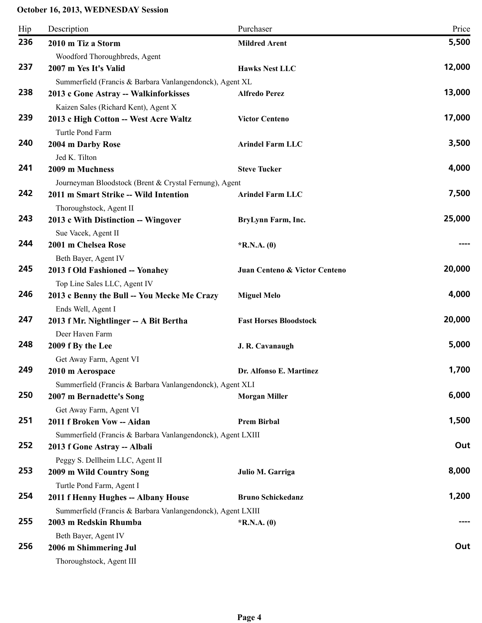| Hip | Description                                                 | Purchaser                     | Price  |
|-----|-------------------------------------------------------------|-------------------------------|--------|
| 236 | 2010 m Tiz a Storm                                          | <b>Mildred Arent</b>          | 5,500  |
|     | Woodford Thoroughbreds, Agent                               |                               |        |
| 237 | 2007 m Yes It's Valid                                       | <b>Hawks Nest LLC</b>         | 12,000 |
|     | Summerfield (Francis & Barbara Vanlangendonck), Agent XL    |                               |        |
| 238 | 2013 c Gone Astray -- Walkinforkisses                       | <b>Alfredo Perez</b>          | 13,000 |
|     | Kaizen Sales (Richard Kent), Agent X                        |                               |        |
| 239 | 2013 c High Cotton -- West Acre Waltz                       | <b>Victor Centeno</b>         | 17,000 |
|     | Turtle Pond Farm                                            |                               |        |
| 240 | 2004 m Darby Rose                                           | <b>Arindel Farm LLC</b>       | 3,500  |
|     | Jed K. Tilton                                               |                               |        |
| 241 | 2009 m Muchness                                             | <b>Steve Tucker</b>           | 4,000  |
|     | Journeyman Bloodstock (Brent & Crystal Fernung), Agent      |                               |        |
| 242 | 2011 m Smart Strike -- Wild Intention                       | <b>Arindel Farm LLC</b>       | 7,500  |
|     | Thoroughstock, Agent II                                     |                               |        |
| 243 | 2013 c With Distinction -- Wingover                         | BryLynn Farm, Inc.            | 25,000 |
|     | Sue Vacek, Agent II                                         |                               |        |
| 244 | 2001 m Chelsea Rose                                         | $*$ R.N.A. $(0)$              |        |
|     | Beth Bayer, Agent IV                                        |                               |        |
| 245 | 2013 f Old Fashioned -- Yonahey                             | Juan Centeno & Victor Centeno | 20,000 |
|     | Top Line Sales LLC, Agent IV                                |                               |        |
| 246 | 2013 c Benny the Bull -- You Mecke Me Crazy                 | <b>Miguel Melo</b>            | 4,000  |
|     | Ends Well, Agent I                                          |                               |        |
| 247 | 2013 f Mr. Nightlinger -- A Bit Bertha                      | <b>Fast Horses Bloodstock</b> | 20,000 |
|     | Deer Haven Farm                                             |                               |        |
| 248 | 2009 f By the Lee                                           | J. R. Cavanaugh               | 5,000  |
|     | Get Away Farm, Agent VI                                     |                               |        |
| 249 | 2010 m Aerospace                                            | Dr. Alfonso E. Martinez       | 1,700  |
|     | Summerfield (Francis & Barbara Vanlangendonck), Agent XLI   |                               |        |
| 250 | 2007 m Bernadette's Song                                    | <b>Morgan Miller</b>          | 6,000  |
|     | Get Away Farm, Agent VI                                     |                               |        |
| 251 | 2011 f Broken Vow -- Aidan                                  | <b>Prem Birbal</b>            | 1,500  |
|     | Summerfield (Francis & Barbara Vanlangendonck), Agent LXIII |                               |        |
| 252 | 2013 f Gone Astray -- Albali                                |                               | Out    |
|     | Peggy S. Dellheim LLC, Agent II                             |                               |        |
| 253 | 2009 m Wild Country Song                                    | Julio M. Garriga              | 8,000  |
|     | Turtle Pond Farm, Agent I                                   |                               |        |
| 254 | 2011 f Henny Hughes -- Albany House                         | <b>Bruno Schickedanz</b>      | 1,200  |
|     | Summerfield (Francis & Barbara Vanlangendonck), Agent LXIII |                               |        |
| 255 | 2003 m Redskin Rhumba                                       | $*$ R.N.A. $(0)$              |        |
|     | Beth Bayer, Agent IV                                        |                               |        |
| 256 | 2006 m Shimmering Jul                                       |                               | Out    |
|     | Thoroughstock, Agent III                                    |                               |        |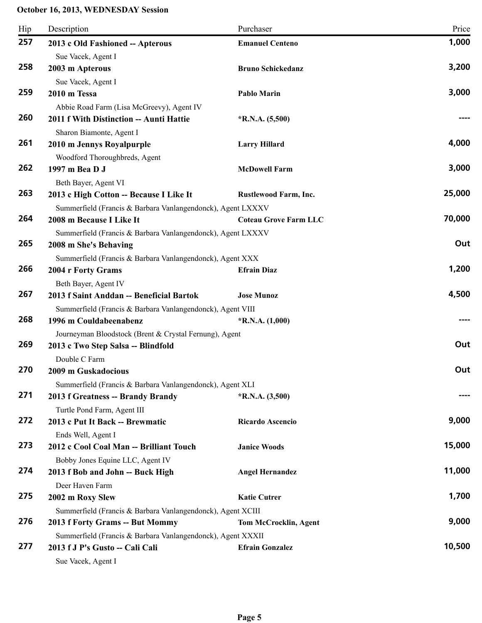| 257<br><b>Emanuel Centeno</b><br>2013 c Old Fashioned -- Apterous<br>Sue Vacek, Agent I<br>258<br>2003 m Apterous<br><b>Bruno Schickedanz</b><br>Sue Vacek, Agent I<br>259<br>2010 m Tessa<br><b>Pablo Marin</b><br>Abbie Road Farm (Lisa McGreevy), Agent IV<br>260<br>2011 f With Distinction -- Aunti Hattie<br>$*$ R.N.A. $(5,500)$<br>Sharon Biamonte, Agent I<br>261<br>2010 m Jennys Royalpurple<br><b>Larry Hillard</b><br>Woodford Thoroughbreds, Agent<br>262<br>1997 m Bea D J<br><b>McDowell Farm</b><br>Beth Bayer, Agent VI | Price  |
|-------------------------------------------------------------------------------------------------------------------------------------------------------------------------------------------------------------------------------------------------------------------------------------------------------------------------------------------------------------------------------------------------------------------------------------------------------------------------------------------------------------------------------------------|--------|
|                                                                                                                                                                                                                                                                                                                                                                                                                                                                                                                                           | 1,000  |
|                                                                                                                                                                                                                                                                                                                                                                                                                                                                                                                                           |        |
|                                                                                                                                                                                                                                                                                                                                                                                                                                                                                                                                           | 3,200  |
|                                                                                                                                                                                                                                                                                                                                                                                                                                                                                                                                           |        |
|                                                                                                                                                                                                                                                                                                                                                                                                                                                                                                                                           | 3,000  |
|                                                                                                                                                                                                                                                                                                                                                                                                                                                                                                                                           |        |
|                                                                                                                                                                                                                                                                                                                                                                                                                                                                                                                                           |        |
|                                                                                                                                                                                                                                                                                                                                                                                                                                                                                                                                           |        |
|                                                                                                                                                                                                                                                                                                                                                                                                                                                                                                                                           | 4,000  |
|                                                                                                                                                                                                                                                                                                                                                                                                                                                                                                                                           |        |
|                                                                                                                                                                                                                                                                                                                                                                                                                                                                                                                                           | 3,000  |
|                                                                                                                                                                                                                                                                                                                                                                                                                                                                                                                                           |        |
| 263<br>2013 c High Cotton -- Because I Like It<br>Rustlewood Farm, Inc.                                                                                                                                                                                                                                                                                                                                                                                                                                                                   | 25,000 |
| Summerfield (Francis & Barbara Vanlangendonck), Agent LXXXV                                                                                                                                                                                                                                                                                                                                                                                                                                                                               |        |
| 264<br>2008 m Because I Like It<br><b>Coteau Grove Farm LLC</b>                                                                                                                                                                                                                                                                                                                                                                                                                                                                           | 70,000 |
| Summerfield (Francis & Barbara Vanlangendonck), Agent LXXXV                                                                                                                                                                                                                                                                                                                                                                                                                                                                               |        |
| 265<br>2008 m She's Behaving                                                                                                                                                                                                                                                                                                                                                                                                                                                                                                              | Out    |
| Summerfield (Francis & Barbara Vanlangendonck), Agent XXX                                                                                                                                                                                                                                                                                                                                                                                                                                                                                 |        |
| 266<br><b>Efrain Diaz</b><br>2004 r Forty Grams                                                                                                                                                                                                                                                                                                                                                                                                                                                                                           | 1,200  |
| Beth Bayer, Agent IV<br>267                                                                                                                                                                                                                                                                                                                                                                                                                                                                                                               |        |
| 2013 f Saint Anddan -- Beneficial Bartok<br><b>Jose Munoz</b>                                                                                                                                                                                                                                                                                                                                                                                                                                                                             | 4,500  |
| Summerfield (Francis & Barbara Vanlangendonck), Agent VIII<br>268                                                                                                                                                                                                                                                                                                                                                                                                                                                                         |        |
| 1996 m Couldabeenabenz<br>$*$ R.N.A. $(1,000)$                                                                                                                                                                                                                                                                                                                                                                                                                                                                                            |        |
| Journeyman Bloodstock (Brent & Crystal Fernung), Agent<br>269                                                                                                                                                                                                                                                                                                                                                                                                                                                                             | Out    |
| 2013 c Two Step Salsa -- Blindfold                                                                                                                                                                                                                                                                                                                                                                                                                                                                                                        |        |
| Double C Farm<br>270<br>2009 m Guskadocious                                                                                                                                                                                                                                                                                                                                                                                                                                                                                               | Out    |
|                                                                                                                                                                                                                                                                                                                                                                                                                                                                                                                                           |        |
| Summerfield (Francis & Barbara Vanlangendonck), Agent XLI<br>271<br>2013 f Greatness -- Brandy Brandy<br>$*R.N.A. (3,500)$                                                                                                                                                                                                                                                                                                                                                                                                                |        |
| Turtle Pond Farm, Agent III                                                                                                                                                                                                                                                                                                                                                                                                                                                                                                               |        |
| 272<br>2013 c Put It Back -- Brewmatic<br>Ricardo Ascencio                                                                                                                                                                                                                                                                                                                                                                                                                                                                                | 9,000  |
| Ends Well, Agent I                                                                                                                                                                                                                                                                                                                                                                                                                                                                                                                        |        |
| 273<br>2012 c Cool Coal Man -- Brilliant Touch<br><b>Janice Woods</b>                                                                                                                                                                                                                                                                                                                                                                                                                                                                     | 15,000 |
| Bobby Jones Equine LLC, Agent IV                                                                                                                                                                                                                                                                                                                                                                                                                                                                                                          |        |
| 274<br><b>Angel Hernandez</b><br>2013 f Bob and John -- Buck High                                                                                                                                                                                                                                                                                                                                                                                                                                                                         | 11,000 |
| Deer Haven Farm                                                                                                                                                                                                                                                                                                                                                                                                                                                                                                                           |        |
| 275<br>2002 m Roxy Slew<br><b>Katie Cutrer</b>                                                                                                                                                                                                                                                                                                                                                                                                                                                                                            | 1,700  |
| Summerfield (Francis & Barbara Vanlangendonck), Agent XCIII                                                                                                                                                                                                                                                                                                                                                                                                                                                                               |        |
| 276<br>2013 f Forty Grams -- But Mommy<br><b>Tom McCrocklin, Agent</b>                                                                                                                                                                                                                                                                                                                                                                                                                                                                    | 9,000  |
| Summerfield (Francis & Barbara Vanlangendonck), Agent XXXII                                                                                                                                                                                                                                                                                                                                                                                                                                                                               |        |
| 277<br>2013 f J P's Gusto -- Cali Cali<br><b>Efrain Gonzalez</b>                                                                                                                                                                                                                                                                                                                                                                                                                                                                          | 10,500 |
| Sue Vacek, Agent I                                                                                                                                                                                                                                                                                                                                                                                                                                                                                                                        |        |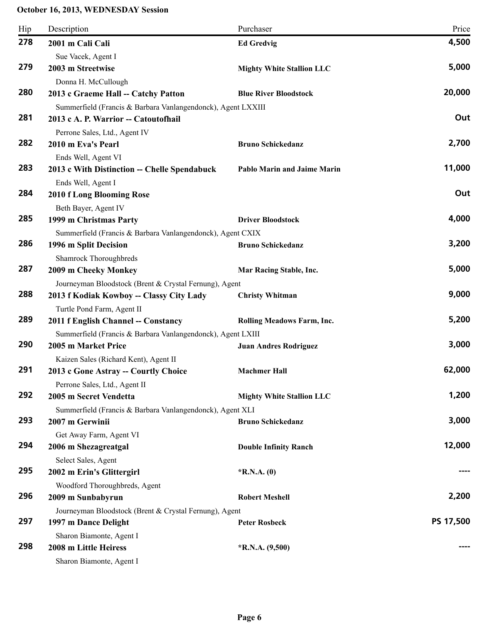| Hip | Description                                                                        | Purchaser                          | Price     |
|-----|------------------------------------------------------------------------------------|------------------------------------|-----------|
| 278 | 2001 m Cali Cali                                                                   | <b>Ed Gredvig</b>                  | 4,500     |
|     | Sue Vacek, Agent I                                                                 |                                    |           |
| 279 | 2003 m Streetwise                                                                  | <b>Mighty White Stallion LLC</b>   | 5,000     |
|     | Donna H. McCullough                                                                |                                    |           |
| 280 | 2013 c Graeme Hall -- Catchy Patton                                                | <b>Blue River Bloodstock</b>       | 20,000    |
|     | Summerfield (Francis & Barbara Vanlangendonck), Agent LXXIII                       |                                    |           |
| 281 | 2013 c A. P. Warrior -- Catoutofhail                                               |                                    | Out       |
|     | Perrone Sales, Ltd., Agent IV                                                      |                                    |           |
| 282 | 2010 m Eva's Pearl                                                                 | <b>Bruno Schickedanz</b>           | 2,700     |
|     | Ends Well, Agent VI                                                                |                                    |           |
| 283 | 2013 c With Distinction -- Chelle Spendabuck                                       | <b>Pablo Marin and Jaime Marin</b> | 11,000    |
|     | Ends Well, Agent I                                                                 |                                    |           |
| 284 | <b>2010 f Long Blooming Rose</b>                                                   |                                    | Out       |
|     | Beth Bayer, Agent IV                                                               |                                    |           |
| 285 | 1999 m Christmas Party                                                             | <b>Driver Bloodstock</b>           | 4,000     |
|     | Summerfield (Francis & Barbara Vanlangendonck), Agent CXIX                         |                                    |           |
| 286 | 1996 m Split Decision                                                              | <b>Bruno Schickedanz</b>           | 3,200     |
|     | Shamrock Thoroughbreds                                                             |                                    |           |
| 287 | 2009 m Cheeky Monkey                                                               | Mar Racing Stable, Inc.            | 5,000     |
| 288 | Journeyman Bloodstock (Brent & Crystal Fernung), Agent                             |                                    | 9,000     |
|     | 2013 f Kodiak Kowboy -- Classy City Lady                                           | <b>Christy Whitman</b>             |           |
| 289 | Turtle Pond Farm, Agent II                                                         |                                    | 5,200     |
|     | 2011 f English Channel -- Constancy                                                | <b>Rolling Meadows Farm, Inc.</b>  |           |
| 290 | Summerfield (Francis & Barbara Vanlangendonck), Agent LXIII<br>2005 m Market Price |                                    | 3,000     |
|     |                                                                                    | <b>Juan Andres Rodriguez</b>       |           |
| 291 | Kaizen Sales (Richard Kent), Agent II<br>2013 c Gone Astray -- Courtly Choice      | <b>Machmer Hall</b>                | 62,000    |
|     |                                                                                    |                                    |           |
| 292 | Perrone Sales, Ltd., Agent II<br>2005 m Secret Vendetta                            | <b>Mighty White Stallion LLC</b>   | 1,200     |
|     | Summerfield (Francis & Barbara Vanlangendonck), Agent XLI                          |                                    |           |
| 293 | 2007 m Gerwinii                                                                    | <b>Bruno Schickedanz</b>           | 3,000     |
|     | Get Away Farm, Agent VI                                                            |                                    |           |
| 294 | 2006 m Shezagreatgal                                                               | <b>Double Infinity Ranch</b>       | 12,000    |
|     | Select Sales, Agent                                                                |                                    |           |
| 295 | 2002 m Erin's Glittergirl                                                          | $*$ R.N.A. $(0)$                   |           |
|     | Woodford Thoroughbreds, Agent                                                      |                                    |           |
| 296 | 2009 m Sunbabyrun                                                                  | <b>Robert Meshell</b>              | 2,200     |
|     | Journeyman Bloodstock (Brent & Crystal Fernung), Agent                             |                                    |           |
| 297 | 1997 m Dance Delight                                                               | <b>Peter Rosbeck</b>               | PS 17,500 |
|     | Sharon Biamonte, Agent I                                                           |                                    |           |
| 298 | 2008 m Little Heiress                                                              | $*R.N.A. (9,500)$                  |           |
|     | Sharon Biamonte, Agent I                                                           |                                    |           |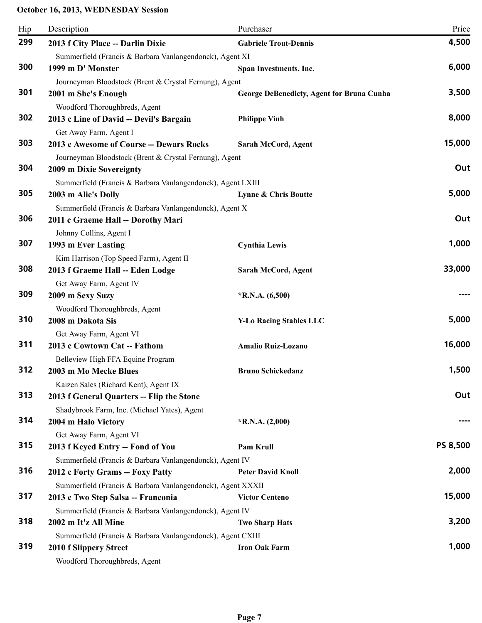| Hip | Description                                                                                  | Purchaser                                        | Price           |
|-----|----------------------------------------------------------------------------------------------|--------------------------------------------------|-----------------|
| 299 | 2013 f City Place -- Darlin Dixie                                                            | <b>Gabriele Trout-Dennis</b>                     | 4,500           |
|     | Summerfield (Francis & Barbara Vanlangendonck), Agent XI                                     |                                                  |                 |
| 300 | 1999 m D' Monster                                                                            | Span Investments, Inc.                           | 6,000           |
|     | Journeyman Bloodstock (Brent & Crystal Fernung), Agent                                       |                                                  |                 |
| 301 | 2001 m She's Enough                                                                          | <b>George DeBenedicty, Agent for Bruna Cunha</b> | 3,500           |
|     | Woodford Thoroughbreds, Agent                                                                |                                                  |                 |
| 302 | 2013 c Line of David -- Devil's Bargain                                                      | <b>Philippe Vinh</b>                             | 8,000           |
|     | Get Away Farm, Agent I                                                                       |                                                  |                 |
| 303 | 2013 c Awesome of Course -- Dewars Rocks                                                     | Sarah McCord, Agent                              | 15,000          |
|     | Journeyman Bloodstock (Brent & Crystal Fernung), Agent                                       |                                                  |                 |
| 304 | 2009 m Dixie Sovereignty                                                                     |                                                  | Out             |
|     | Summerfield (Francis & Barbara Vanlangendonck), Agent LXIII                                  |                                                  |                 |
| 305 | 2003 m Alie's Dolly                                                                          | Lynne & Chris Boutte                             | 5,000           |
|     | Summerfield (Francis & Barbara Vanlangendonck), Agent X                                      |                                                  |                 |
| 306 | 2011 c Graeme Hall -- Dorothy Mari<br>Johnny Collins, Agent I                                |                                                  | Out             |
| 307 | 1993 m Ever Lasting                                                                          | <b>Cynthia Lewis</b>                             | 1,000           |
|     |                                                                                              |                                                  |                 |
| 308 | Kim Harrison (Top Speed Farm), Agent II<br>2013 f Graeme Hall -- Eden Lodge                  | Sarah McCord, Agent                              | 33,000          |
|     |                                                                                              |                                                  |                 |
| 309 | Get Away Farm, Agent IV<br>2009 m Sexy Suzy                                                  | $*R.N.A. (6,500)$                                |                 |
|     | Woodford Thoroughbreds, Agent                                                                |                                                  |                 |
| 310 | 2008 m Dakota Sis                                                                            | <b>Y-Lo Racing Stables LLC</b>                   | 5,000           |
|     |                                                                                              |                                                  |                 |
| 311 | Get Away Farm, Agent VI<br>2013 c Cowtown Cat -- Fathom                                      | <b>Amalio Ruiz-Lozano</b>                        | 16,000          |
|     |                                                                                              |                                                  |                 |
| 312 | Belleview High FFA Equine Program<br>2003 m Mo Mecke Blues                                   | Bruno Schickedanz                                | 1,500           |
|     |                                                                                              |                                                  |                 |
| 313 | Kaizen Sales (Richard Kent), Agent IX<br>2013 f General Quarters -- Flip the Stone           |                                                  | Out             |
|     | Shadybrook Farm, Inc. (Michael Yates), Agent                                                 |                                                  |                 |
| 314 | 2004 m Halo Victory                                                                          | $*R.N.A. (2,000)$                                |                 |
|     |                                                                                              |                                                  |                 |
| 315 | Get Away Farm, Agent VI<br>2013 f Keyed Entry -- Fond of You                                 | Pam Krull                                        | <b>PS 8,500</b> |
|     | Summerfield (Francis & Barbara Vanlangendonck), Agent IV                                     |                                                  |                 |
| 316 | 2012 c Forty Grams -- Foxy Patty                                                             | <b>Peter David Knoll</b>                         | 2,000           |
|     | Summerfield (Francis & Barbara Vanlangendonck), Agent XXXII                                  |                                                  |                 |
| 317 | 2013 c Two Step Salsa -- Franconia                                                           | <b>Victor Centeno</b>                            | 15,000          |
|     |                                                                                              |                                                  |                 |
| 318 | Summerfield (Francis & Barbara Vanlangendonck), Agent IV<br>2002 m It'z All Mine             | <b>Two Sharp Hats</b>                            | 3,200           |
|     |                                                                                              |                                                  |                 |
| 319 | Summerfield (Francis & Barbara Vanlangendonck), Agent CXIII<br><b>2010 f Slippery Street</b> | <b>Iron Oak Farm</b>                             | 1,000           |
|     | Woodford Thoroughbreds, Agent                                                                |                                                  |                 |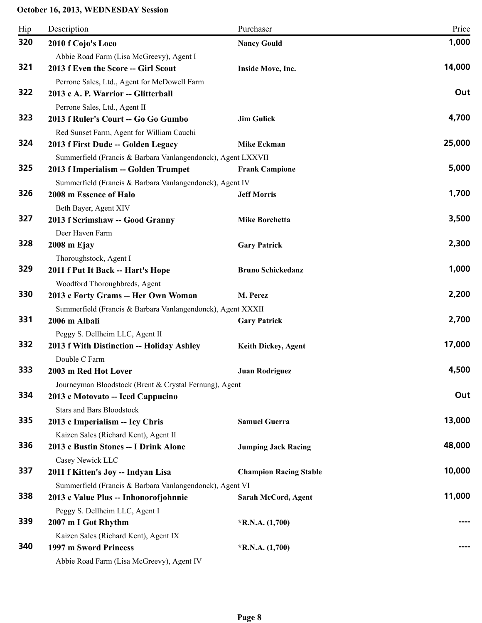| Hip | Description                                                                         | Purchaser                     | Price  |
|-----|-------------------------------------------------------------------------------------|-------------------------------|--------|
| 320 | 2010 f Cojo's Loco                                                                  | <b>Nancy Gould</b>            | 1,000  |
| 321 | Abbie Road Farm (Lisa McGreevy), Agent I<br>2013 f Even the Score -- Girl Scout     | Inside Move, Inc.             | 14,000 |
| 322 | Perrone Sales, Ltd., Agent for McDowell Farm<br>2013 c A. P. Warrior -- Glitterball |                               | Out    |
| 323 | Perrone Sales, Ltd., Agent II<br>2013 f Ruler's Court -- Go Go Gumbo                | <b>Jim Gulick</b>             | 4,700  |
| 324 | Red Sunset Farm, Agent for William Cauchi<br>2013 f First Dude -- Golden Legacy     | <b>Mike Eckman</b>            | 25,000 |
|     | Summerfield (Francis & Barbara Vanlangendonck), Agent LXXVII                        |                               |        |
| 325 | 2013 f Imperialism -- Golden Trumpet                                                | <b>Frank Campione</b>         | 5,000  |
|     | Summerfield (Francis & Barbara Vanlangendonck), Agent IV                            |                               |        |
| 326 | 2008 m Essence of Halo                                                              | <b>Jeff Morris</b>            | 1,700  |
|     | Beth Bayer, Agent XIV                                                               |                               |        |
| 327 | 2013 f Scrimshaw -- Good Granny                                                     | <b>Mike Borchetta</b>         | 3,500  |
|     | Deer Haven Farm                                                                     |                               |        |
| 328 | 2008 m Ejay                                                                         | <b>Gary Patrick</b>           | 2,300  |
|     | Thoroughstock, Agent I                                                              |                               |        |
| 329 | 2011 f Put It Back -- Hart's Hope                                                   | <b>Bruno Schickedanz</b>      | 1,000  |
|     | Woodford Thoroughbreds, Agent                                                       |                               |        |
| 330 | 2013 c Forty Grams -- Her Own Woman                                                 | M. Perez                      | 2,200  |
|     | Summerfield (Francis & Barbara Vanlangendonck), Agent XXXII                         |                               |        |
| 331 | 2006 m Albali                                                                       | <b>Gary Patrick</b>           | 2,700  |
|     | Peggy S. Dellheim LLC, Agent II                                                     |                               |        |
| 332 | 2013 f With Distinction -- Holiday Ashley                                           | <b>Keith Dickey, Agent</b>    | 17,000 |
|     | Double C Farm                                                                       |                               |        |
| 333 | 2003 m Red Hot Lover                                                                | <b>Juan Rodriguez</b>         | 4,500  |
|     | Journeyman Bloodstock (Brent & Crystal Fernung), Agent                              |                               |        |
| 334 | 2013 c Motovato -- Iced Cappucino                                                   |                               | Out    |
|     | <b>Stars and Bars Bloodstock</b>                                                    |                               |        |
| 335 | 2013 c Imperialism -- Icy Chris                                                     | <b>Samuel Guerra</b>          | 13,000 |
|     | Kaizen Sales (Richard Kent), Agent II                                               |                               |        |
| 336 | 2013 c Bustin Stones -- I Drink Alone                                               | <b>Jumping Jack Racing</b>    | 48,000 |
|     | Casey Newick LLC                                                                    |                               |        |
| 337 | 2011 f Kitten's Joy -- Indyan Lisa                                                  | <b>Champion Racing Stable</b> | 10,000 |
|     | Summerfield (Francis & Barbara Vanlangendonck), Agent VI                            |                               |        |
| 338 | 2013 c Value Plus -- Inhonorofjohnnie                                               | Sarah McCord, Agent           | 11,000 |
|     | Peggy S. Dellheim LLC, Agent I                                                      |                               |        |
| 339 | 2007 m I Got Rhythm                                                                 | $*$ R.N.A. $(1,700)$          |        |
|     | Kaizen Sales (Richard Kent), Agent IX                                               |                               |        |
| 340 | 1997 m Sword Princess                                                               | $*R.N.A. (1,700)$             |        |
|     | Abbie Road Farm (Lisa McGreevy), Agent IV                                           |                               |        |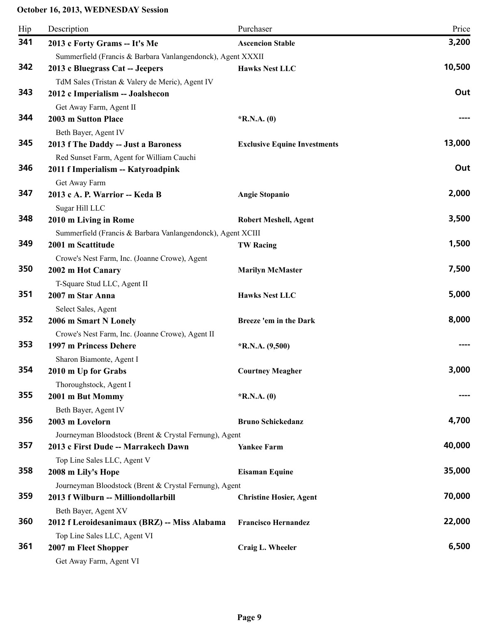| Hip | Description                                                                      | Purchaser                           | Price  |
|-----|----------------------------------------------------------------------------------|-------------------------------------|--------|
| 341 | 2013 c Forty Grams -- It's Me                                                    | <b>Ascencion Stable</b>             | 3,200  |
|     | Summerfield (Francis & Barbara Vanlangendonck), Agent XXXII                      |                                     |        |
| 342 | 2013 c Bluegrass Cat -- Jeepers                                                  | <b>Hawks Nest LLC</b>               | 10,500 |
|     | TdM Sales (Tristan & Valery de Meric), Agent IV                                  |                                     |        |
| 343 | 2012 c Imperialism -- Joalshecon                                                 |                                     | Out    |
|     | Get Away Farm, Agent II                                                          |                                     |        |
| 344 | 2003 m Sutton Place                                                              | $*$ R.N.A. $(0)$                    |        |
|     | Beth Bayer, Agent IV                                                             |                                     |        |
| 345 | 2013 f The Daddy -- Just a Baroness                                              | <b>Exclusive Equine Investments</b> | 13,000 |
|     | Red Sunset Farm, Agent for William Cauchi                                        |                                     |        |
| 346 | 2011 f Imperialism -- Katyroadpink                                               |                                     | Out    |
|     | Get Away Farm                                                                    |                                     |        |
| 347 | 2013 c A. P. Warrior -- Keda B                                                   | <b>Angie Stopanio</b>               | 2,000  |
| 348 | Sugar Hill LLC                                                                   |                                     | 3,500  |
|     | 2010 m Living in Rome                                                            | <b>Robert Meshell, Agent</b>        |        |
| 349 | Summerfield (Francis & Barbara Vanlangendonck), Agent XCIII<br>2001 m Scattitude |                                     | 1,500  |
|     |                                                                                  | <b>TW Racing</b>                    |        |
| 350 | Crowe's Nest Farm, Inc. (Joanne Crowe), Agent<br>2002 m Hot Canary               | <b>Marilyn McMaster</b>             | 7,500  |
|     |                                                                                  |                                     |        |
| 351 | T-Square Stud LLC, Agent II<br>2007 m Star Anna                                  | <b>Hawks Nest LLC</b>               | 5,000  |
|     | Select Sales, Agent                                                              |                                     |        |
| 352 | 2006 m Smart N Lonely                                                            | Breeze 'em in the Dark              | 8,000  |
|     | Crowe's Nest Farm, Inc. (Joanne Crowe), Agent II                                 |                                     |        |
| 353 | 1997 m Princess Dehere                                                           | $*R.N.A. (9,500)$                   |        |
|     | Sharon Biamonte, Agent I                                                         |                                     |        |
| 354 | 2010 m Up for Grabs                                                              | <b>Courtney Meagher</b>             | 3,000  |
|     | Thoroughstock, Agent I                                                           |                                     |        |
| 355 | 2001 m But Mommy                                                                 | $*$ R.N.A. $(0)$                    |        |
|     | Beth Bayer, Agent IV                                                             |                                     |        |
| 356 | 2003 m Lovelorn                                                                  | <b>Bruno Schickedanz</b>            | 4,700  |
|     | Journeyman Bloodstock (Brent & Crystal Fernung), Agent                           |                                     |        |
| 357 | 2013 c First Dude -- Marrakech Dawn                                              | <b>Yankee Farm</b>                  | 40,000 |
|     | Top Line Sales LLC, Agent V                                                      |                                     |        |
| 358 | 2008 m Lily's Hope                                                               | <b>Eisaman Equine</b>               | 35,000 |
|     | Journeyman Bloodstock (Brent & Crystal Fernung), Agent                           |                                     |        |
| 359 | 2013 f Wilburn -- Milliondollarbill                                              | <b>Christine Hosier, Agent</b>      | 70,000 |
|     | Beth Bayer, Agent XV                                                             |                                     |        |
| 360 | 2012 f Leroidesanimaux (BRZ) -- Miss Alabama                                     | <b>Francisco Hernandez</b>          | 22,000 |
|     | Top Line Sales LLC, Agent VI                                                     |                                     |        |
| 361 | 2007 m Fleet Shopper                                                             | Craig L. Wheeler                    | 6,500  |
|     | Get Away Farm, Agent VI                                                          |                                     |        |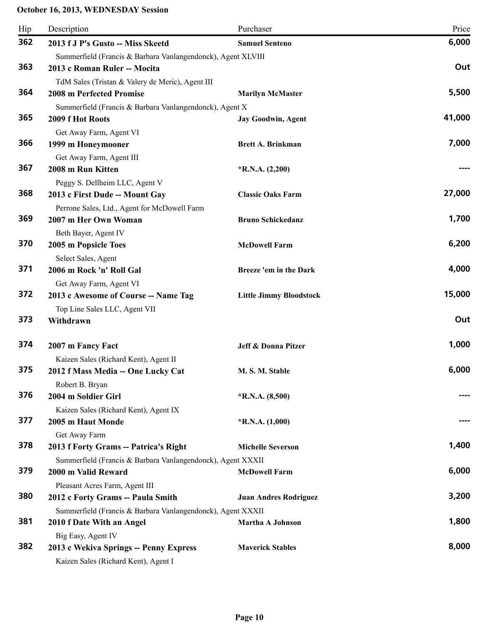| Hip | Description                                                     | Purchaser                      | Price  |
|-----|-----------------------------------------------------------------|--------------------------------|--------|
| 362 | 2013 f J P's Gusto -- Miss Skeetd                               | <b>Samuel Senteno</b>          | 6,000  |
|     | Summerfield (Francis & Barbara Vanlangendonck), Agent XLVIII    |                                |        |
| 363 | 2013 c Roman Ruler -- Mocita                                    |                                | Out    |
|     | TdM Sales (Tristan & Valery de Meric), Agent III                |                                |        |
| 364 | 2008 m Perfected Promise                                        | <b>Marilyn McMaster</b>        | 5,500  |
|     | Summerfield (Francis & Barbara Vanlangendonck), Agent X         |                                |        |
| 365 | 2009 f Hot Roots                                                | <b>Jay Goodwin, Agent</b>      | 41,000 |
|     | Get Away Farm, Agent VI                                         |                                |        |
| 366 | 1999 m Honeymooner                                              | <b>Brett A. Brinkman</b>       | 7,000  |
|     | Get Away Farm, Agent III                                        |                                |        |
| 367 | 2008 m Run Kitten                                               | $*$ R.N.A. $(2,200)$           |        |
|     | Peggy S. Dellheim LLC, Agent V                                  |                                |        |
| 368 | 2013 c First Dude -- Mount Gay                                  | <b>Classic Oaks Farm</b>       | 27,000 |
|     | Perrone Sales, Ltd., Agent for McDowell Farm                    |                                |        |
| 369 | 2007 m Her Own Woman                                            | <b>Bruno Schickedanz</b>       | 1,700  |
| 370 | Beth Bayer, Agent IV                                            |                                | 6,200  |
|     | 2005 m Popsicle Toes                                            | <b>McDowell Farm</b>           |        |
| 371 | Select Sales, Agent                                             |                                | 4,000  |
|     | 2006 m Rock 'n' Roll Gal                                        | Breeze 'em in the Dark         |        |
| 372 | Get Away Farm, Agent VI<br>2013 c Awesome of Course -- Name Tag | <b>Little Jimmy Bloodstock</b> | 15,000 |
|     |                                                                 |                                |        |
| 373 | Top Line Sales LLC, Agent VII<br>Withdrawn                      |                                | Out    |
|     |                                                                 |                                |        |
| 374 | 2007 m Fancy Fact                                               | Jeff & Donna Pitzer            | 1,000  |
|     | Kaizen Sales (Richard Kent), Agent II                           |                                |        |
| 375 | 2012 f Mass Media -- One Lucky Cat                              | M. S. M. Stable                | 6,000  |
|     | Robert B. Bryan                                                 |                                |        |
| 376 | 2004 m Soldier Girl                                             | $*R.N.A. (8,500)$              |        |
|     | Kaizen Sales (Richard Kent), Agent IX                           |                                |        |
| 377 | 2005 m Haut Monde                                               | $*$ R.N.A. $(1,000)$           |        |
|     | Get Away Farm                                                   |                                |        |
| 378 | 2013 f Forty Grams -- Patrica's Right                           | <b>Michelle Severson</b>       | 1,400  |
|     | Summerfield (Francis & Barbara Vanlangendonck), Agent XXXII     |                                |        |
| 379 | 2000 m Valid Reward                                             | <b>McDowell Farm</b>           | 6,000  |
|     | Pleasant Acres Farm, Agent III                                  |                                |        |
| 380 | 2012 c Forty Grams -- Paula Smith                               | <b>Juan Andres Rodriguez</b>   | 3,200  |
|     | Summerfield (Francis & Barbara Vanlangendonck), Agent XXXII     |                                |        |
| 381 | 2010 f Date With an Angel                                       | Martha A Johnson               | 1,800  |
|     | Big Easy, Agent IV                                              |                                |        |
| 382 | 2013 c Wekiva Springs -- Penny Express                          | <b>Maverick Stables</b>        | 8,000  |
|     | Kaizen Sales (Richard Kent), Agent I                            |                                |        |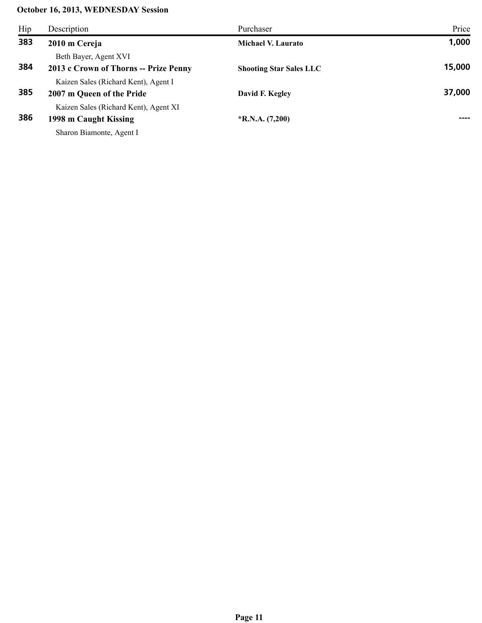| Hip | Description                                                       | Purchaser                      | Price  |
|-----|-------------------------------------------------------------------|--------------------------------|--------|
| 383 | 2010 m Cereja                                                     | <b>Michael V. Laurato</b>      | 1,000  |
| 384 | Beth Bayer, Agent XVI<br>2013 c Crown of Thorns -- Prize Penny    | <b>Shooting Star Sales LLC</b> | 15,000 |
| 385 | Kaizen Sales (Richard Kent), Agent I<br>2007 m Queen of the Pride | David F. Kegley                | 37,000 |
| 386 | Kaizen Sales (Richard Kent), Agent XI<br>1998 m Caught Kissing    | $*$ R.N.A. $(7,200)$           |        |
|     | Sharon Biamonte, Agent I                                          |                                |        |